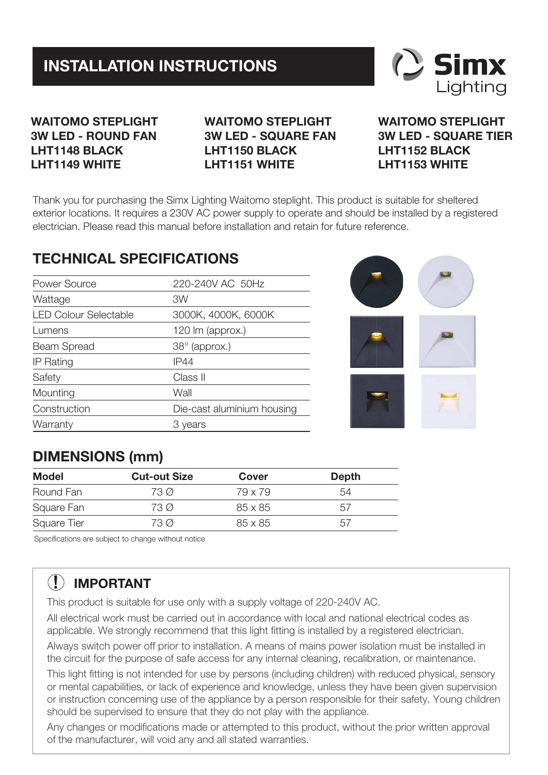## **INSTALLATION INSTRUCTIONS**



### **WAITOMO STEPLIGHT 3W LED - ROUND FAN LHT1148 BLACK LHT1149 WHITE**

**WAITOMO STEPLIGHT 3W LED - SQUARE FAN LHT1150 BLACK LHT1151 WHITE**

**WAITOMO STEPLIGHT 3W LED - SQUARE TIER LHT1152 BLACK LHT1153 WHITE**

Thank you for purchasing the Simx Lighting Waitomo steplight. This product is suitable for sheltered exterior locations. It requires a 230V AC power supply to operate and should be installed by a registered electrician. Please read this manual before installation and retain for future reference.

### **TECHNICAL SPECIFICATIONS**

| Power Source                 | 220-240V AC 50Hz           |  |
|------------------------------|----------------------------|--|
| Wattage                      | 3W                         |  |
| <b>LED Colour Selectable</b> | 3000K, 4000K, 6000K        |  |
| Lumens                       | 120 lm (approx.)           |  |
| Beam Spread                  | $38^\circ$ (approx.)       |  |
| IP Rating                    | <b>IP44</b>                |  |
| Safety                       | Class II                   |  |
| Mounting                     | Wall                       |  |
| Construction                 | Die-cast aluminium housing |  |
| Warranty                     | 3 vears                    |  |



## **DIMENSIONS (mm)**

| Model       | <b>Cut-out Size</b> | Cover   | Depth |
|-------------|---------------------|---------|-------|
| Round Fan   | 73 Ø                | 79 x 79 | 54    |
| Square Fan  | 73 Ø                | 85 x 85 | 51    |
| Square Tier | 73 Ø                | 85 x 85 | 51    |

Specifications are subject to change without notice

# **! IMPORTANT**

This product is suitable for use only with a supply voltage of 220-240V AC.

All electrical work must be carried out in accordance with local and national electrical codes as applicable. We strongly recommend that this light fitting is installed by a registered electrician.

Always switch power off prior to installation. A means of mains power isolation must be installed in the circuit for the purpose of safe access for any internal cleaning, recalibration, or maintenance.

This light fitting is not intended for use by persons (including children) with reduced physical, sensory or mental capabilities, or lack of experience and knowledge, unless they have been given supervision or instruction concerning use of the appliance by a person responsible for their safety. Young children should be supervised to ensure that they do not play with the appliance.

Any changes or modifications made or attempted to this product, without the prior written approval of the manufacturer, will void any and all stated warranties.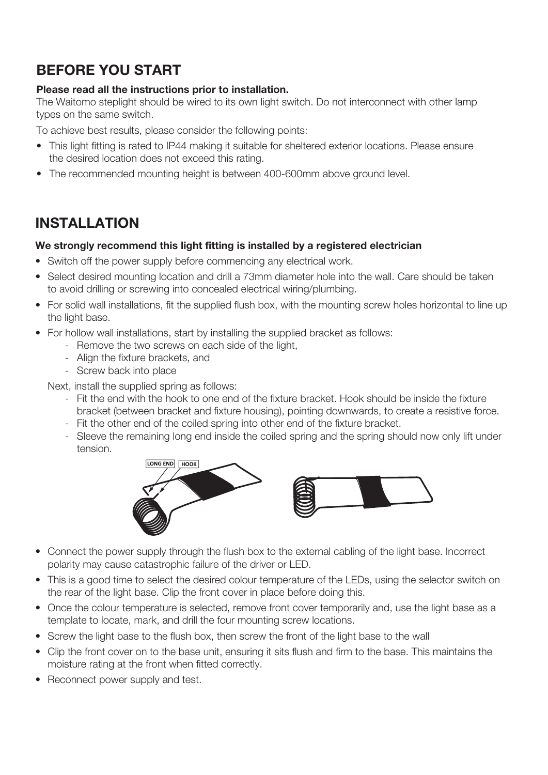### **BEFORE YOU START**

#### **Please read all the instructions prior to installation.**

The Waitomo steplight should be wired to its own light switch. Do not interconnect with other lamp types on the same switch.

To achieve best results, please consider the following points:

- This light fitting is rated to IP44 making it suitable for sheltered exterior locations. Please ensure the desired location does not exceed this rating.
- The recommended mounting height is between 400-600mm above ground level.

### **INSTALLATION**

#### **We strongly recommend this light fitting is installed by a registered electrician**

- Switch off the power supply before commencing any electrical work.
- Select desired mounting location and drill a 73mm diameter hole into the wall. Care should be taken to avoid drilling or screwing into concealed electrical wiring/plumbing.
- For solid wall installations, fit the supplied flush box, with the mounting screw holes horizontal to line up the light base.
- For hollow wall installations, start by installing the supplied bracket as follows:
	- Remove the two screws on each side of the light,
	- Align the fixture brackets, and
	- Screw back into place

Next, install the supplied spring as follows:

- Fit the end with the hook to one end of the fixture bracket. Hook should be inside the fixture bracket (between bracket and fixture housing), pointing downwards, to create a resistive force.
- Fit the other end of the coiled spring into other end of the fixture bracket.
- Sleeve the remaining long end inside the coiled spring and the spring should now only lift under tension.



- Connect the power supply through the flush box to the external cabling of the light base. Incorrect polarity may cause catastrophic failure of the driver or LED.
- This is a good time to select the desired colour temperature of the LEDs, using the selector switch on the rear of the light base. Clip the front cover in place before doing this.
- Once the colour temperature is selected, remove front cover temporarily and, use the light base as a template to locate, mark, and drill the four mounting screw locations.
- Screw the light base to the flush box, then screw the front of the light base to the wall
- Clip the front cover on to the base unit, ensuring it sits flush and firm to the base. This maintains the moisture rating at the front when fitted correctly.
- Reconnect power supply and test.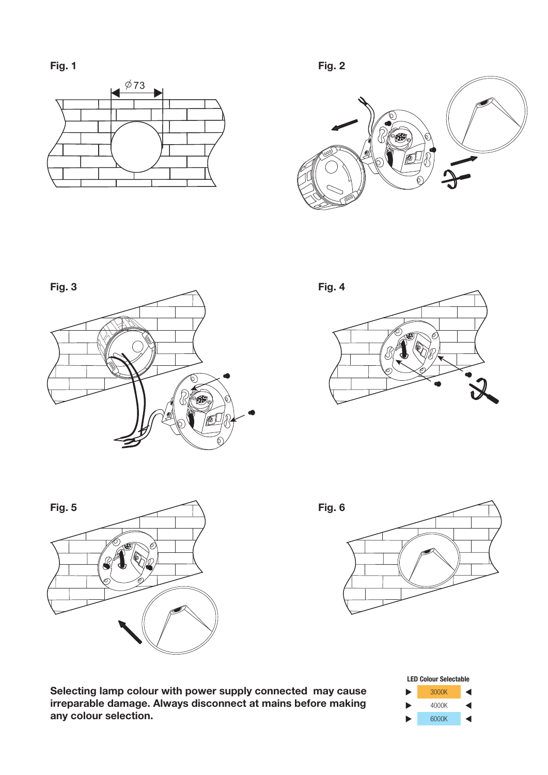**Fig. 1**















**Selecting lamp colour with power supply connected may cause irreparable damage. Always disconnect at mains before making any colour selection.**